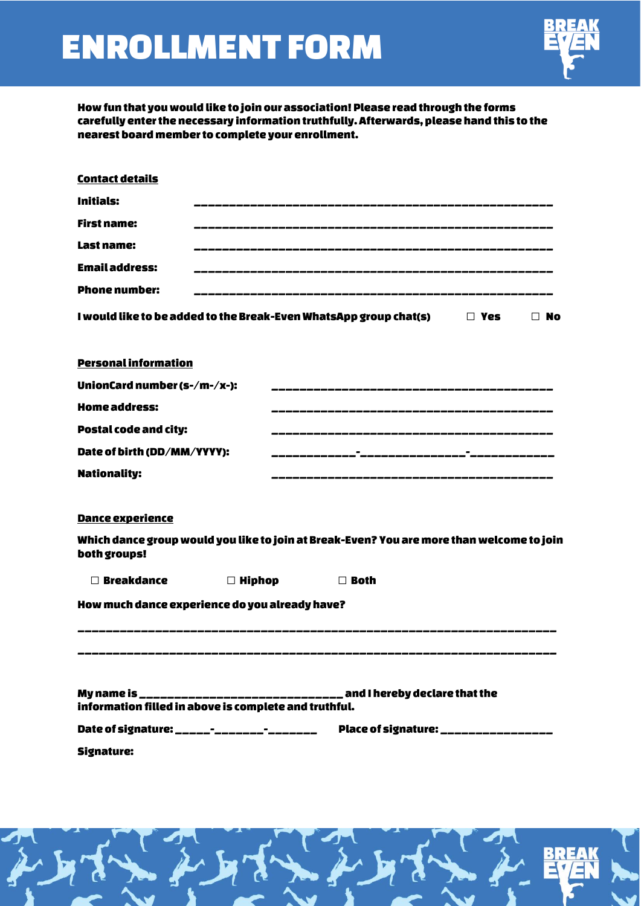# ENROLLMENT FORM



How fun that you would like to join our association! Please read through the forms carefully enter the necessary information truthfully. Afterwards, please hand this to the nearest board member to complete your enrollment.

| <b>Contact details</b>                                |               |                                                                                           |           |
|-------------------------------------------------------|---------------|-------------------------------------------------------------------------------------------|-----------|
| <b>Initials:</b>                                      |               |                                                                                           |           |
| <b>First name:</b>                                    |               |                                                                                           |           |
| Last name:                                            |               |                                                                                           |           |
| <b>Email address:</b>                                 |               |                                                                                           |           |
| <b>Phone number:</b>                                  |               |                                                                                           |           |
|                                                       |               | I would like to be added to the Break-Even WhatsApp group chat(s) $\hfill\Box$ Yes        | $\Box$ No |
| <b>Personal information</b>                           |               |                                                                                           |           |
| UnionCard number (s-/m-/x-):                          |               |                                                                                           |           |
| <b>Home address:</b>                                  |               |                                                                                           |           |
| <b>Postal code and city:</b>                          |               |                                                                                           |           |
| Date of birth (DD/MM/YYYY):                           |               |                                                                                           |           |
| <b>Nationality:</b>                                   |               |                                                                                           |           |
| Dance experience<br>both groups!                      |               | Which dance group would you like to join at Break-Even? You are more than welcome to join |           |
| $\Box$ Breakdance                                     | $\Box$ Hiphop | $\Box$ Both                                                                               |           |
| How much dance experience do you already have?        |               |                                                                                           |           |
|                                                       |               |                                                                                           |           |
| information filled in above is complete and truthful. |               | My name is ______________________________ and I hereby declare that the                   |           |
| Date of signature: ______-_________________           |               | Place of signature: ________________                                                      |           |
| <b>Signature:</b>                                     |               |                                                                                           |           |

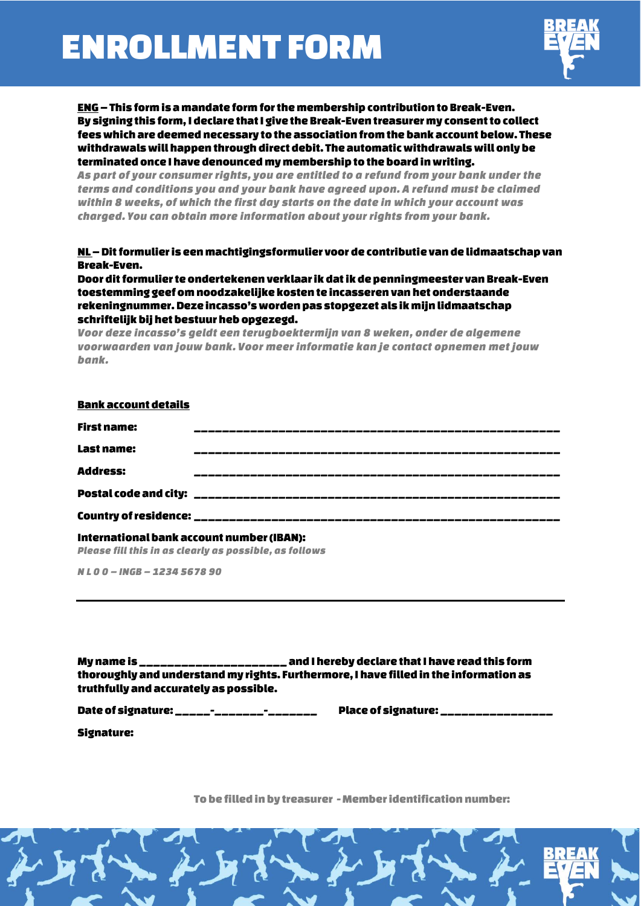# ENROLLMENT FORM



ENG– This form is a mandate form for the membership contribution to Break-Even. By signing this form, Ideclare that I give the Break-Eventreasurer my consent to collect fees which are deemed necessary to the association from the bank account below. These withdrawals will happen through direct debit. The automatic withdrawals will only be terminated once Ihave denounced my membership to the board in writing.

*As part of your consumer rights, you are entitled to a refund from your bank under the terms and conditions you and your bank have agreed upon. A refund must be claimed within 8 weeks, of which the first day starts on the date in which your account was charged. You can obtain more information about your rights from your bank.* 

## NL –Dit formulier is een machtigingsformulier voor de contributie van de lidmaatschap van Break-Even.

Door dit formulier te ondertekenen verklaar ik dat ik de penningmeester van Break-Even toestemming geef om noodzakelijke kosten te incasseren van het onderstaande rekeningnummer. Deze incasso's worden pas stopgezet als ik mijn lidmaatschap schriftelijk bij het bestuur heb opgezegd.

*Voor deze incasso's geldt een terugboektermijn van 8 weken, onder de algemene voorwaarden van jouw bank. Voor meer informatie kan je contact opnemen met jouw bank.*

| <b>Bank account details</b> |  |
|-----------------------------|--|
| <b>First name:</b>          |  |
| <b>Last name:</b>           |  |
| <b>Address:</b>             |  |
|                             |  |
|                             |  |
|                             |  |

#### International bank account number (IBAN): *Please fill this in as clearly as possible, as follows*

*N L 0 0 – INGB – 1234 5678 90*

Myname is \_\_\_\_\_\_\_\_\_\_\_\_\_\_\_\_\_\_\_\_\_ and I hereby declare that I have read this form thoroughly and understand my rights. Furthermore, I have filled in the information as truthfully and accurately as possible.

Date of signature: \_\_\_\_\_-\_\_\_\_\_\_\_-\_\_\_\_\_\_\_ Place of signature: \_\_\_\_\_\_\_\_\_\_\_\_\_\_\_\_

Signature:

To be filled in by treasurer - Member identification number:

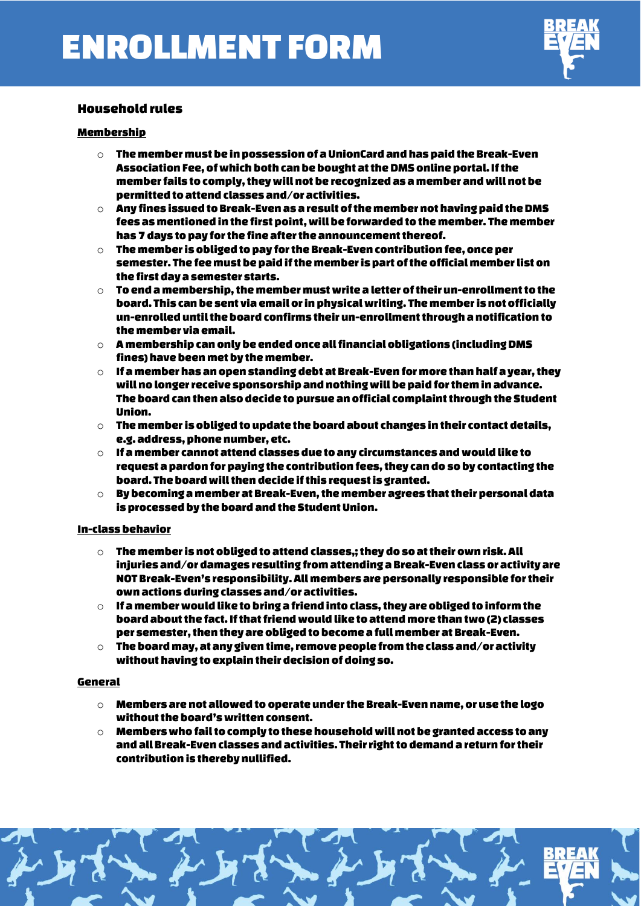

## Household rules

## Membership

- $\circ$  The member must be in possession of a UnionCard and has paid the Break-Even Association Fee, of which both can be bought at the DMS online portal. If the member fails to comply, they will not be recognized as a member and will not be permitted to attend classes and/or activities.
- $\circ$  Any fines issued to Break-Even as a result of the member not having paid the DMS fees as mentioned in the first point, will be forwarded to the member. The member has 7 days to pay for the fine after the announcement thereof.
- $\circ$  The member is obliged to pay for the Break-Even contribution fee, once per semester. The fee must be paid if the member is part of the officialmember list on the first day a semester starts.
- $\circ$  To end a membership, the member must write a letter of their un-enrollment to the board. This can be sent via email or in physical writing. The member is not officially un-enrolled until the board confirms their un-enrollment through anotification to the member via email.
- $\circ$  A membership can only be ended once all financial obligations (including DMS fines) have been met by the member.
- $\circ$  If a member has an open standing debt at Break-Even for more than half a year, they will no longer receive sponsorship and nothing will be paid for them in advance. The board can then also decide to pursue an official complaint through the Student Union.
- $\circ$  The member is obliged to update the board about changes in their contact details. e.g. address, phone number, etc.
- $\circ$  If a member cannot attend classes due to any circumstances and would like to request a pardon for paying the contribution fees, they can do so by contacting the board. The board will then decide if this request is granted.
- $\circ$  By becoming a member at Break-Even, the member agrees that their personal data is processed by the board and the Student Union.

## In-class behavior

- $\circ$  The member is not obliged to attend classes.; they do so at their own risk. All injuries and/or damages resulting from attending a Break-Even class or activity are NOT Break-Even's responsibility.All members are personally responsible for their own actions during classes and/or activities.
- $\circ$  If a member would like to bring a friend into class, they are obliged to inform the board about the fact. If that friend would like to attend more than two (2) classes per semester, then they are obliged to become a full member at Break-Even.
- $\circ$  The board may, at any given time, remove people from the class and/or activity without having to explain their decision of doing so.

### General

- $\circ$  Members are not allowed to operate under the Break-Even name, or use the logo without the board's written consent.
- $\circ$  Members who fail to comply to these household will not be granted access to any and all Break-Even classes and activities. Their right to demand a return for their contribution is thereby nullified.